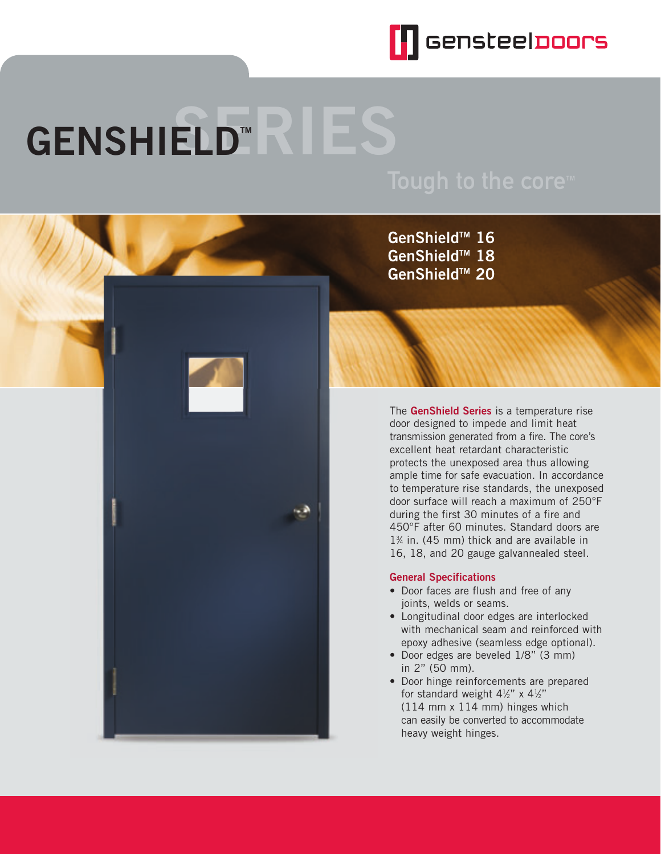

# $GENSHIED<sup>**</sup>$

**GenShieldTM 16 GenShieldTM 18 GenShieldTM 20**

The **GenShield Series** is a temperature rise door designed to impede and limit heat transmission generated from a fire. The core's excellent heat retardant characteristic protects the unexposed area thus allowing ample time for safe evacuation. In accordance to temperature rise standards, the unexposed door surface will reach a maximum of 250°F during the first 30 minutes of a fire and 450°F after 60 minutes. Standard doors are 13 ⁄4 in. (45 mm) thick and are available in 16, 18, and 20 gauge galvannealed steel.

#### **General Specifications**

- Door faces are flush and free of any joints, welds or seams.
- Longitudinal door edges are interlocked with mechanical seam and reinforced with epoxy adhesive (seamless edge optional).
- Door edges are beveled 1/8" (3 mm) in 2" (50 mm).
- Door hinge reinforcements are prepared for standard weight  $4\frac{1}{2}$ " x  $4\frac{1}{2}$ " (114 mm x 114 mm) hinges which can easily be converted to accommodate heavy weight hinges.